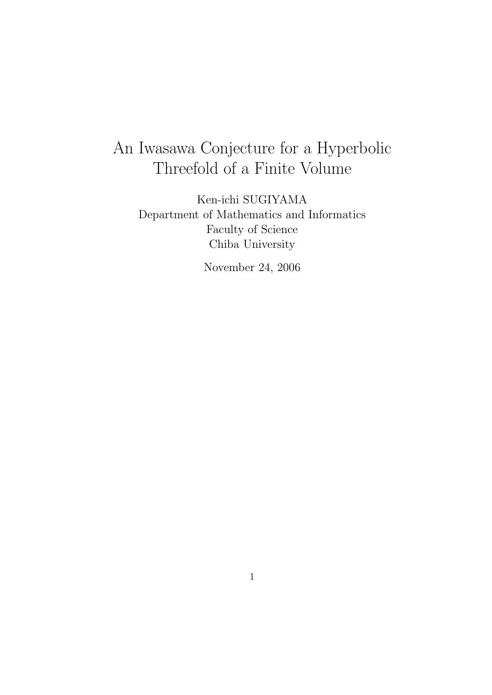# An Iwasawa Conjecture for a Hyperbolic Threefold of a Finite Volume

Ken-ichi SUGIYAMA Department of Mathematics and Informatics Faculty of Science Chiba University

November 24, 2006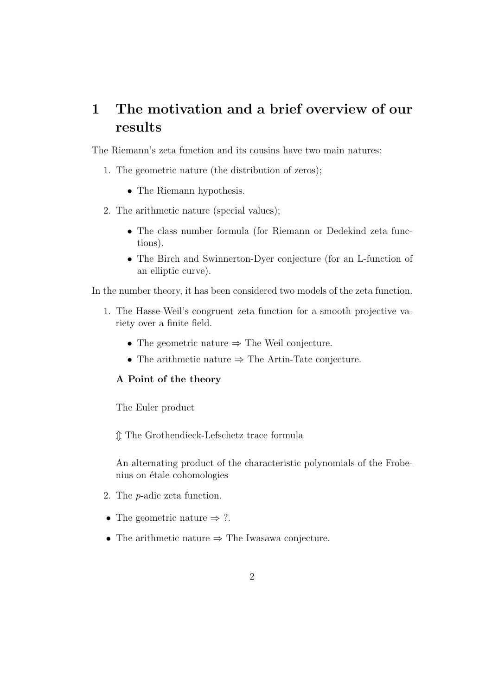### 1 The motivation and a brief overview of our results

The Riemann's zeta function and its cousins have two main natures:

- 1. The geometric nature (the distribution of zeros);
	- The Riemann hypothesis.
- 2. The arithmetic nature (special values);
	- The class number formula (for Riemann or Dedekind zeta functions).
	- The Birch and Swinnerton-Dyer conjecture (for an L-function of an elliptic curve).

In the number theory, it has been considered two models of the zeta function.

- 1. The Hasse-Weil's congruent zeta function for a smooth projective variety over a finite field.
	- The geometric nature ⇒ The Weil conjecture.
	- The arithmetic nature  $\Rightarrow$  The Artin-Tate conjecture.

### A Point of the theory

The Euler product

m The Grothendieck-Lefschetz trace formula

An alternating product of the characteristic polynomials of the Frobenius on étale cohomologies

- 2. The p-adic zeta function.
- The geometric nature  $\Rightarrow$  ?.
- The arithmetic nature  $\Rightarrow$  The Iwasawa conjecture.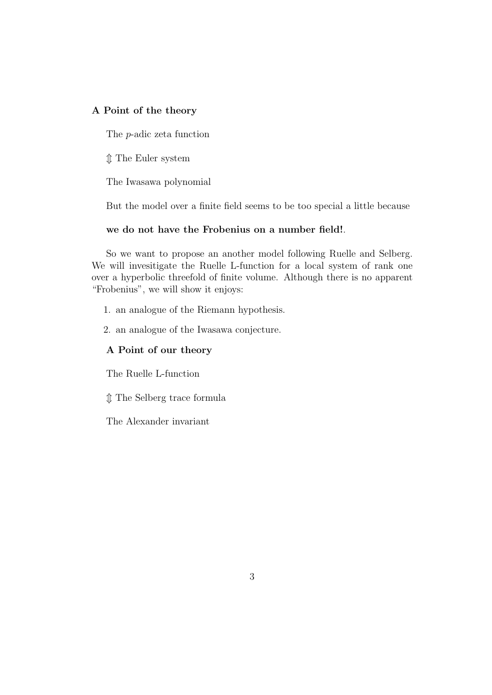### A Point of the theory

The p-adic zeta function

 $\hat{\mathbb{I}}$  The Euler system

The Iwasawa polynomial

But the model over a finite field seems to be too special a little because

### we do not have the Frobenius on a number field!.

So we want to propose an another model following Ruelle and Selberg. We will invesitigate the Ruelle L-function for a local system of rank one over a hyperbolic threefold of finite volume. Although there is no apparent "Frobenius", we will show it enjoys:

- 1. an analogue of the Riemann hypothesis.
- 2. an analogue of the Iwasawa conjecture.

### A Point of our theory

The Ruelle L-function

 $\mathcal D$  The Selberg trace formula

The Alexander invariant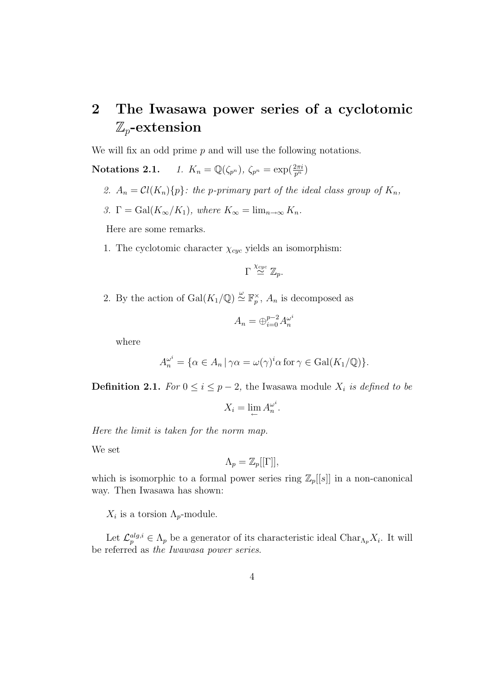# 2 The Iwasawa power series of a cyclotomic  $\mathbb{Z}_p$ -extension

We will fix an odd prime  $p$  and will use the following notations.

**Notations 2.1.** 1.  $K_n = \mathbb{Q}(\zeta_{p^n}), \ \zeta_{p^n} = \exp(\frac{2\pi i}{p^n})$ 

2.  $A_n = \mathcal{C}l(K_n)\{p\}$ : the p-primary part of the ideal class group of  $K_n$ ,

3. 
$$
\Gamma = \text{Gal}(K_{\infty}/K_1)
$$
, where  $K_{\infty} = \lim_{n \to \infty} K_n$ .

Here are some remarks.

1. The cyclotomic character  $\chi_{cyc}$  yields an isomorphism:

$$
\Gamma \stackrel{\chi_{cyc}}{\simeq} \mathbb{Z}_p.
$$

2. By the action of  $Gal(K_1/\mathbb{Q}) \stackrel{\omega}{\simeq} \mathbb{F}_p^{\times}$ ,  $A_n$  is decomposed as

$$
A_n = \bigoplus_{i=0}^{p-2} A_n^{\omega^i}
$$

where

$$
A_n^{\omega^i} = \{ \alpha \in A_n \, | \, \gamma \alpha = \omega(\gamma)^i \alpha \text{ for } \gamma \in \text{Gal}(K_1/\mathbb{Q}) \}.
$$

**Definition 2.1.** For  $0 \le i \le p-2$ , the Iwasawa module  $X_i$  is defined to be

$$
X_i = \lim_{\leftarrow} A_n^{\omega^i}.
$$

Here the limit is taken for the norm map.

We set

$$
\Lambda_p = \mathbb{Z}_p[[\Gamma]],
$$

which is isomorphic to a formal power series ring  $\mathbb{Z}_p[[s]]$  in a non-canonical way. Then Iwasawa has shown:

 $X_i$  is a torsion  $\Lambda_p$ -module.

Let  $\mathcal{L}_p^{alg,i} \in \Lambda_p$  be a generator of its characteristic ideal Char $\Lambda_p X_i$ . It will be referred as the Iwawasa power series.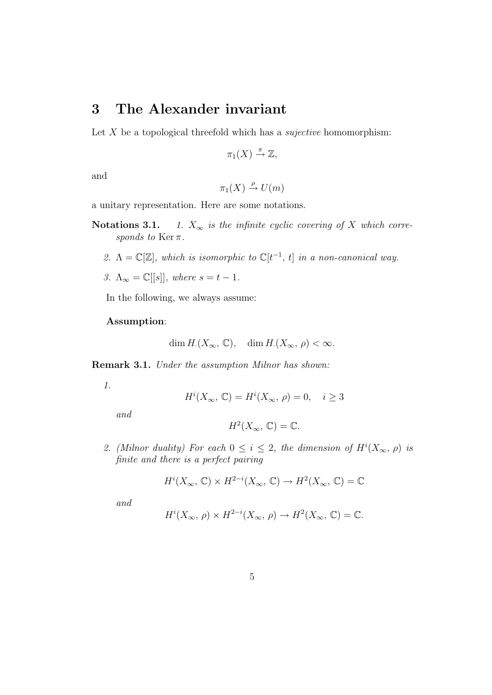### 3 The Alexander invariant

Let  $X$  be a topological threefold which has a *sujective* homomorphism:

$$
\pi_1(X) \stackrel{\pi}{\to} \mathbb{Z},
$$

and

$$
\pi_1(X) \stackrel{\rho}{\to} U(m)
$$

a unitary representation. Here are some notations.

- Notations 3.1. 1.  $X_{\infty}$  is the infinite cyclic covering of X which corresponds to Ker $\pi$ .
	- 2.  $\Lambda = \mathbb{C}[\mathbb{Z}]$ , which is isomorphic to  $\mathbb{C}[t^{-1}, t]$  in a non-canonical way.
	- 3.  $\Lambda_{\infty} = \mathbb{C}[[s]],$  where  $s = t 1$ .

In the following, we always assume:

#### Assumption:

$$
\dim H.(X_{\infty}, \mathbb{C}), \quad \dim H.(X_{\infty}, \rho) < \infty.
$$

Remark 3.1. Under the assumption Milnor has shown:

1.

$$
H^i(X_\infty, \mathbb{C}) = H^i(X_\infty, \rho) = 0, \quad i \ge 3
$$

and

$$
H^2(X_\infty, \mathbb{C}) = \mathbb{C}.
$$

2. (Milnor duality) For each  $0 \le i \le 2$ , the dimension of  $H^{i}(X_{\infty}, \rho)$  is finite and there is a perfect pairing

$$
H^i(X_\infty, \mathbb{C}) \times H^{2-i}(X_\infty, \mathbb{C}) \to H^2(X_\infty, \mathbb{C}) = \mathbb{C}
$$

and

$$
H^i(X_{\infty}, \rho) \times H^{2-i}(X_{\infty}, \rho) \to H^2(X_{\infty}, \mathbb{C}) = \mathbb{C}.
$$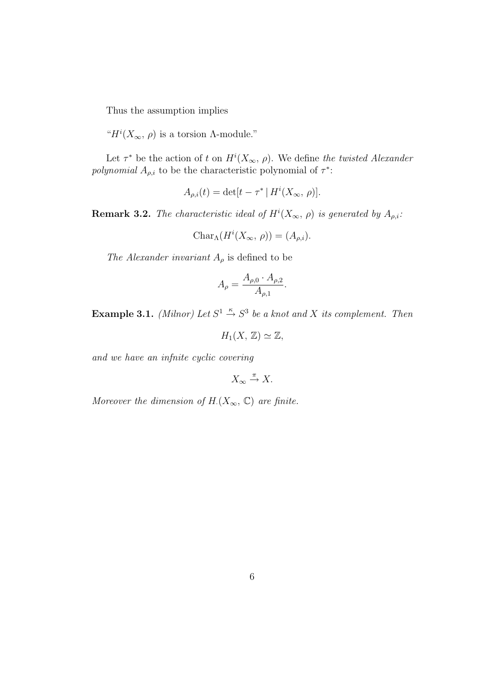Thus the assumption implies

" $H^i(X_\infty, \rho)$  is a torsion A-module."

Let  $\tau^*$  be the action of t on  $H^i(X_\infty, \rho)$ . We define the twisted Alexander polynomial  $A_{\rho,i}$  to be the characteristic polynomial of  $\tau^*$ :

$$
A_{\rho,i}(t) = \det[t - \tau^* | H^i(X_\infty, \rho)].
$$

**Remark 3.2.** The characteristic ideal of  $H^{i}(X_{\infty}, \rho)$  is generated by  $A_{\rho,i}$ .

$$
Char_{\Lambda}(H^i(X_{\infty}, \rho)) = (A_{\rho,i}).
$$

The Alexander invariant  $A_{\rho}$  is defined to be

$$
A_{\rho} = \frac{A_{\rho,0} \cdot A_{\rho,2}}{A_{\rho,1}}.
$$

**Example 3.1.** (Milnor) Let  $S^1 \stackrel{\kappa}{\rightarrow} S^3$  be a knot and X its complement. Then

$$
H_1(X, \mathbb{Z}) \simeq \mathbb{Z},
$$

and we have an infnite cyclic covering

$$
X_{\infty}\xrightarrow{\pi} X.
$$

Moreover the dimension of  $H_1(X_\infty, \mathbb{C})$  are finite.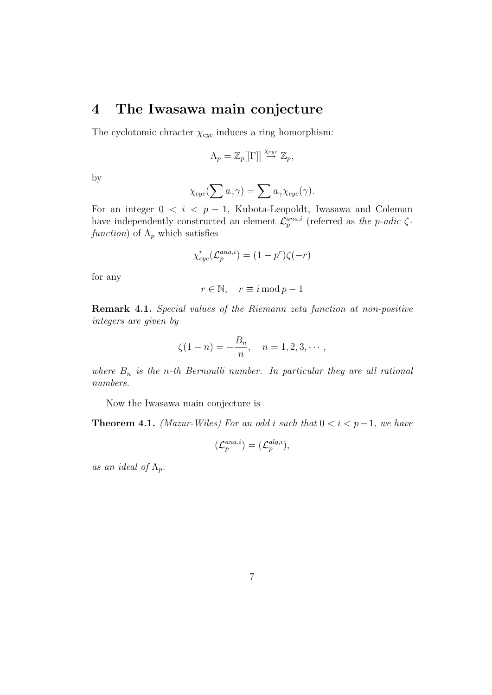### 4 The Iwasawa main conjecture

The cyclotomic chracter  $\chi_{cyc}$  induces a ring homorphism:

$$
\Lambda_p = \mathbb{Z}_p[[\Gamma]] \stackrel{\chi_{cyc}}{\to} \mathbb{Z}_p,
$$

by

$$
\chi_{cyc}(\sum a_{\gamma}\gamma) = \sum a_{\gamma}\chi_{cyc}(\gamma).
$$

For an integer  $0 \le i \le p-1$ , Kubota-Leopoldt, Iwasawa and Coleman have independently constructed an element  $\mathcal{L}_p^{ana,i}$  (referred as the p-adic  $\zeta$ function) of  $\Lambda_p$  which satisfies

$$
\chi_{cyc}^r(\mathcal{L}_p^{ana,i}) = (1 - p^r)\zeta(-r)
$$

for any

$$
r \in \mathbb{N}, \quad r \equiv i \mod p - 1
$$

Remark 4.1. Special values of the Riemann zeta function at non-positive integers are given by

$$
\zeta(1-n) = -\frac{B_n}{n}, \quad n = 1, 2, 3, \cdots,
$$

where  $B_n$  is the n-th Bernoulli number. In particular they are all rational numbers.

Now the Iwasawa main conjecture is

**Theorem 4.1.** (Mazur-Wiles) For an odd i such that  $0 < i < p-1$ , we have

$$
(\mathcal{L}_p^{ana,i})=(\mathcal{L}_p^{alg,i}),
$$

as an ideal of  $\Lambda_p$ .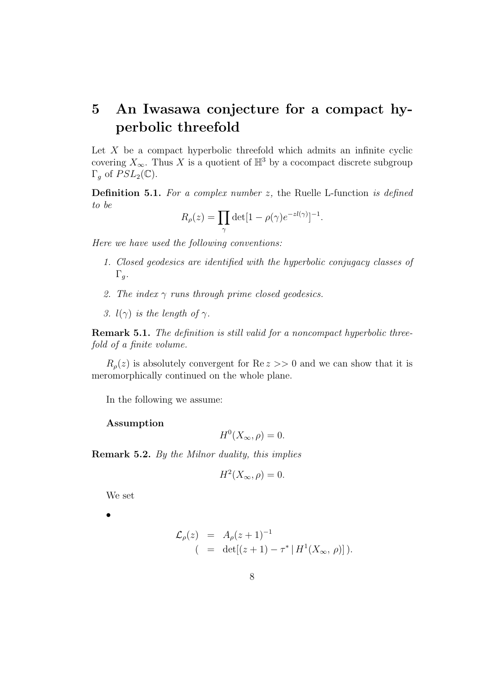## 5 An Iwasawa conjecture for a compact hyperbolic threefold

Let  $X$  be a compact hyperbolic threefold which admits an infinite cyclic covering  $X_{\infty}$ . Thus X is a quotient of  $\mathbb{H}^{3}$  by a cocompact discrete subgroup Γ<sub>g</sub> of  $PSL_2(\mathbb{C})$ .

**Definition 5.1.** For a complex number  $z$ , the Ruelle L-function is defined to be

$$
R_{\rho}(z) = \prod_{\gamma} \det[1 - \rho(\gamma)e^{-z l(\gamma)}]^{-1}.
$$

Here we have used the following conventions:

- 1. Closed geodesics are identified with the hyperbolic conjugacy classes of  $\Gamma_g$ .
- 2. The index  $\gamma$  runs through prime closed geodesics.
- 3.  $l(\gamma)$  is the length of  $\gamma$ .

**Remark 5.1.** The definition is still valid for a noncompact hyperbolic threefold of a finite volume.

 $R_\rho(z)$  is absolutely convergent for Re  $z \geq 0$  and we can show that it is meromorphically continued on the whole plane.

In the following we assume:

#### Assumption

$$
H^0(X_\infty, \rho) = 0.
$$

Remark 5.2. By the Milnor duality, this implies

$$
H^2(X_\infty, \rho) = 0.
$$

We set

•

$$
\mathcal{L}_{\rho}(z) = A_{\rho}(z+1)^{-1}
$$
  
( = det[(z+1) - \tau^\* | H<sup>1</sup>(X<sub>\infty</sub>, \rho)]).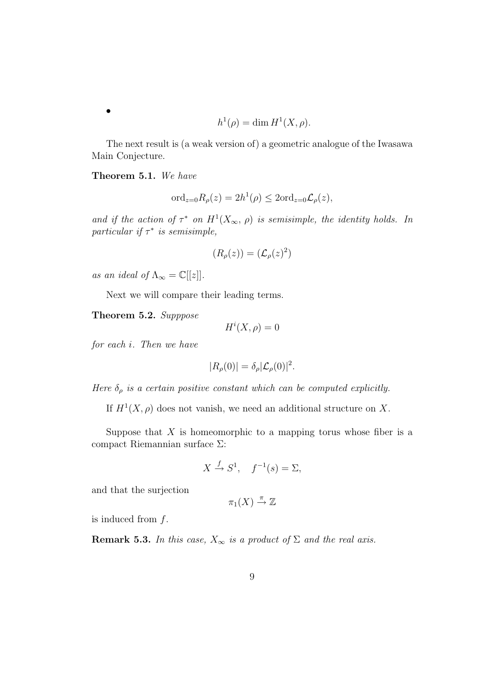$$
h^1(\rho) = \dim H^1(X, \rho).
$$

The next result is (a weak version of) a geometric analogue of the Iwasawa Main Conjecture.

Theorem 5.1. We have

$$
\text{ord}_{z=0}R_{\rho}(z) = 2h^{1}(\rho) \leq 2\text{ord}_{z=0}\mathcal{L}_{\rho}(z),
$$

and if the action of  $\tau^*$  on  $H^1(X_\infty, \rho)$  is semisimple, the identity holds. In particular if  $\tau^*$  is semisimple,

$$
(R_{\rho}(z)) = (\mathcal{L}_{\rho}(z)^2)
$$

as an ideal of  $\Lambda_{\infty} = \mathbb{C}[[z]].$ 

Next we will compare their leading terms.

Theorem 5.2. Supppose

$$
H^i(X,\rho) = 0
$$

for each i. Then we have

$$
|R_{\rho}(0)| = \delta_{\rho} |\mathcal{L}_{\rho}(0)|^2.
$$

Here  $\delta_{\rho}$  is a certain positive constant which can be computed explicitly.

If  $H^1(X, \rho)$  does not vanish, we need an additional structure on X.

Suppose that  $X$  is homeomorphic to a mapping torus whose fiber is a compact Riemannian surface Σ:

$$
X \xrightarrow{f} S^1, \quad f^{-1}(s) = \Sigma,
$$

and that the surjection

$$
\pi_1(X) \stackrel{\pi}{\to} \mathbb{Z}
$$

is induced from  $f$ .

**Remark 5.3.** In this case,  $X_{\infty}$  is a product of  $\Sigma$  and the real axis.

•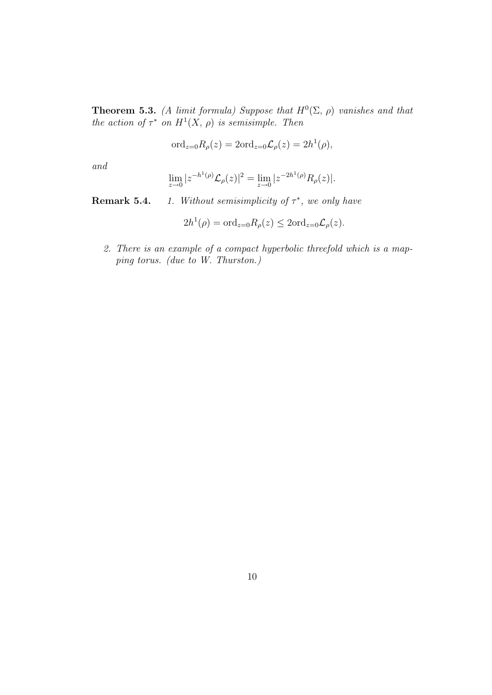**Theorem 5.3.** (A limit formula) Suppose that  $H^0(\Sigma, \rho)$  vanishes and that the action of  $\tau^*$  on  $H^1(X, \rho)$  is semisimple. Then

$$
\text{ord}_{z=0}R_{\rho}(z)=2\text{ord}_{z=0}\mathcal{L}_{\rho}(z)=2h^{1}(\rho),
$$

and

$$
\lim_{z \to 0} |z^{-h^1(\rho)} \mathcal{L}_{\rho}(z)|^2 = \lim_{z \to 0} |z^{-2h^1(\rho)} R_{\rho}(z)|.
$$

**Remark 5.4.** 1. Without semisimplicity of  $\tau^*$ , we only have

$$
2h^{1}(\rho) = \text{ord}_{z=0}R_{\rho}(z) \leq 2\text{ord}_{z=0}\mathcal{L}_{\rho}(z).
$$

2. There is an example of a compact hyperbolic threefold which is a mapping torus. (due to W. Thurston.)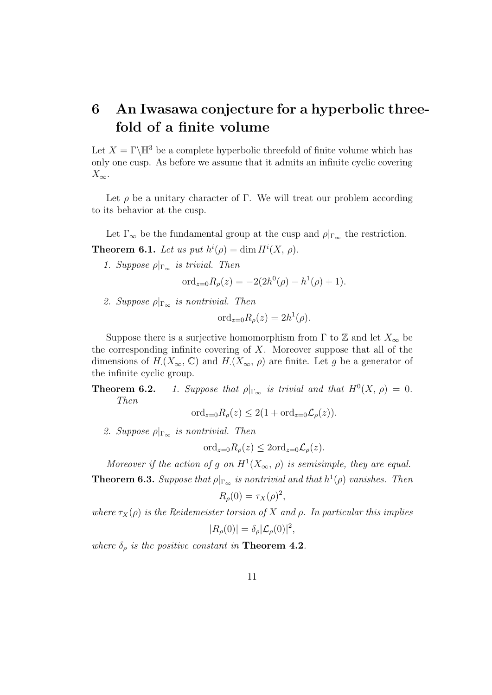# 6 An Iwasawa conjecture for a hyperbolic threefold of a finite volume

Let  $X = \Gamma \backslash \mathbb{H}^3$  be a complete hyperbolic threefold of finite volume which has only one cusp. As before we assume that it admits an infinite cyclic covering  $X_{\infty}$ .

Let  $\rho$  be a unitary character of Γ. We will treat our problem according to its behavior at the cusp.

Let  $\Gamma_{\infty}$  be the fundamental group at the cusp and  $\rho|_{\Gamma_{\infty}}$  the restriction. **Theorem 6.1.** Let us put  $h^{i}(\rho) = \dim H^{i}(X, \rho)$ .

1. Suppose  $\rho|_{\Gamma_{\infty}}$  is trivial. Then

$$
\text{ord}_{z=0}R_{\rho}(z) = -2(2h^0(\rho) - h^1(\rho) + 1).
$$

2. Suppose  $\rho|_{\Gamma_{\infty}}$  is nontrivial. Then

$$
\text{ord}_{z=0}R_{\rho}(z)=2h^1(\rho).
$$

Suppose there is a surjective homomorphism from  $\Gamma$  to  $\mathbb Z$  and let  $X_{\infty}$  be the corresponding infinite covering of  $X$ . Moreover suppose that all of the dimensions of  $H(X_\infty, \mathbb{C})$  and  $H(X_\infty, \rho)$  are finite. Let g be a generator of the infinite cyclic group.

**Theorem 6.2.** 1. Suppose that  $\rho|_{\Gamma_{\infty}}$  is trivial and that  $H^{0}(X, \rho) = 0$ . Then

ord<sub> $z=0$ </sub> $R_{\rho}(z) \leq 2(1 + \text{ord}_{z=0} \mathcal{L}_{\rho}(z)).$ 

2. Suppose  $\rho|_{\Gamma_{\infty}}$  is nontrivial. Then

$$
\text{ord}_{z=0}R_{\rho}(z) \leq 2\text{ord}_{z=0}\mathcal{L}_{\rho}(z).
$$

Moreover if the action of g on  $H^1(X_\infty, \rho)$  is semisimple, they are equal. **Theorem 6.3.** Suppose that  $\rho|_{\Gamma_{\infty}}$  is nontrivial and that  $h^1(\rho)$  vanishes. Then

$$
R_{\rho}(0) = \tau_X(\rho)^2,
$$

where  $\tau_X(\rho)$  is the Reidemeister torsion of X and  $\rho$ . In particular this implies  $|R_{\rho}(0)| = \delta_{\rho} |\mathcal{L}_{\rho}(0)|^2,$ 

where  $\delta_{\rho}$  is the positive constant in **Theorem 4.2**.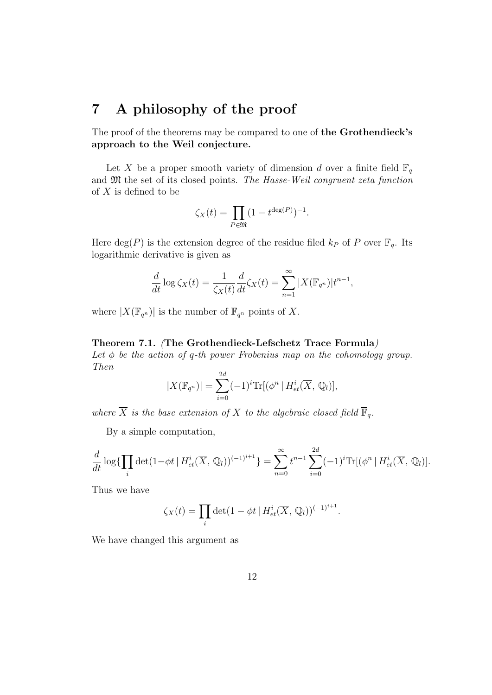### 7 A philosophy of the proof

The proof of the theorems may be compared to one of the Grothendieck's approach to the Weil conjecture.

Let X be a proper smooth variety of dimension d over a finite field  $\mathbb{F}_q$ and  $\mathfrak M$  the set of its closed points. The Hasse-Weil congruent zeta function of  $X$  is defined to be

$$
\zeta_X(t) = \prod_{P \in \mathfrak{M}} (1 - t^{\deg(P)})^{-1}.
$$

Here  $deg(P)$  is the extension degree of the residue filed  $k_P$  of P over  $\mathbb{F}_q$ . Its logarithmic derivative is given as

$$
\frac{d}{dt}\log\zeta_X(t) = \frac{1}{\zeta_X(t)}\frac{d}{dt}\zeta_X(t) = \sum_{n=1}^{\infty} |X(\mathbb{F}_{q^n})|t^{n-1},
$$

where  $|X(\mathbb{F}_{q^n})|$  is the number of  $\mathbb{F}_{q^n}$  points of X.

#### Theorem 7.1. (The Grothendieck-Lefschetz Trace Formula)

Let  $\phi$  be the action of q-th power Frobenius map on the cohomology group. Then  $\sim$ 

$$
|X(\mathbb{F}_{q^n})| = \sum_{i=0}^{2d} (-1)^i \text{Tr}[(\phi^n | H^i_{et}(\overline{X}, \mathbb{Q}_l)],
$$

where  $\overline{X}$  is the base extension of X to the algebraic closed field  $\overline{\mathbb{F}}_q$ .

By a simple computation,

$$
\frac{d}{dt} \log \{ \prod_i \det(1 - \phi t \mid H_{et}^i(\overline{X}, \mathbb{Q}_l))^{(-1)^{i+1}} \} = \sum_{n=0}^{\infty} t^{n-1} \sum_{i=0}^{2d} (-1)^i \text{Tr}[(\phi^n \mid H_{et}^i(\overline{X}, \mathbb{Q}_l)].
$$

Thus we have

$$
\zeta_X(t) = \prod_i \det(1 - \phi t \mid H_{et}^i(\overline{X}, \mathbb{Q}_l))^{(-1)^{i+1}}.
$$

We have changed this argument as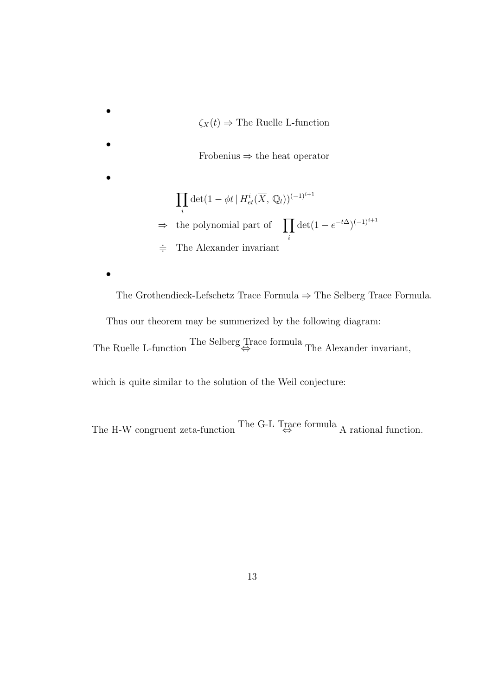•  $\zeta_X(t) \Rightarrow$  The Ruelle L-function • Frobenius ⇒ the heat operator •  $\overline{y}$ i  $\det(1 - \phi t \, | \, H^i_{et}(\overline{X}, \mathbb{Q}_l))^{(-1)^{i+1}}$  $\Rightarrow$  the polynomial part of **T** i  $\det(1 - e^{-t\Delta})^{(-1)^{i+1}}$  $\div$  The Alexander invariant •

The Grothendieck-Lefschetz Trace Formula ⇒ The Selberg Trace Formula.

Thus our theorem may be summerized by the following diagram:

The Ruelle L-function The Selberg Trace formula The Alexander invariant,

which is quite similar to the solution of the Weil conjecture:

The H-W congruent zeta-function The G-L Trace formula A rational function.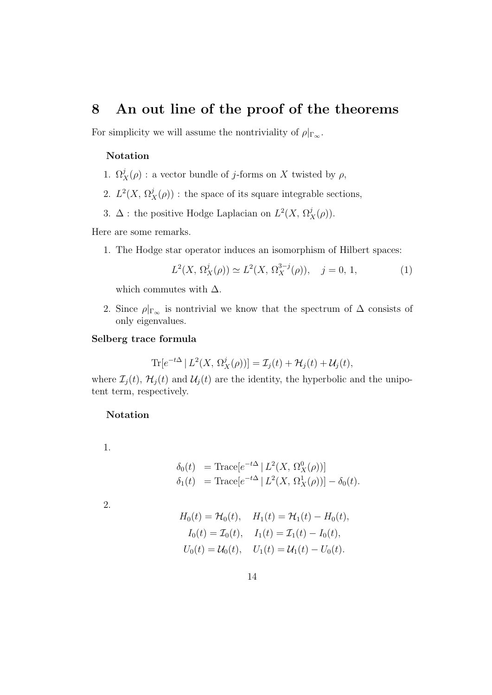### 8 An out line of the proof of the theorems

For simplicity we will assume the nontriviality of  $\rho|_{\Gamma_{\infty}}$ .

### Notation

- 1.  $\Omega_X^j(\rho)$ : a vector bundle of j-forms on X twisted by  $\rho$ ,
- 2.  $L^2(X, \Omega_X^j(\rho))$ : the space of its square integrable sections,
- 3.  $\Delta$ : the positive Hodge Laplacian on  $L^2(X, \Omega_X^j(\rho)).$

Here are some remarks.

1. The Hodge star operator induces an isomorphism of Hilbert spaces:

$$
L^{2}(X, \Omega_{X}^{j}(\rho)) \simeq L^{2}(X, \Omega_{X}^{3-j}(\rho)), \quad j = 0, 1,
$$
 (1)

which commutes with  $\Delta$ .

2. Since  $\rho|_{\Gamma_{\infty}}$  is nontrivial we know that the spectrum of  $\Delta$  consists of only eigenvalues.

#### Selberg trace formula

 $\text{Tr}[e^{-t\Delta} | L^2(X, \Omega^j_X(\rho))] = \mathcal{I}_j(t) + \mathcal{H}_j(t) + \mathcal{U}_j(t),$ 

where  $\mathcal{I}_j(t)$ ,  $\mathcal{H}_j(t)$  and  $\mathcal{U}_j(t)$  are the identity, the hyperbolic and the unipotent term, respectively.

#### Notation

1.

$$
\delta_0(t) = \text{Trace}[e^{-t\Delta} | L^2(X, \Omega_X^0(\rho))]
$$
  
\n
$$
\delta_1(t) = \text{Trace}[e^{-t\Delta} | L^2(X, \Omega_X^1(\rho))] - \delta_0(t).
$$

2.

$$
H_0(t) = \mathcal{H}_0(t), \quad H_1(t) = \mathcal{H}_1(t) - H_0(t),
$$
  
\n
$$
I_0(t) = \mathcal{I}_0(t), \quad I_1(t) = \mathcal{I}_1(t) - I_0(t),
$$
  
\n
$$
U_0(t) = \mathcal{U}_0(t), \quad U_1(t) = \mathcal{U}_1(t) - U_0(t).
$$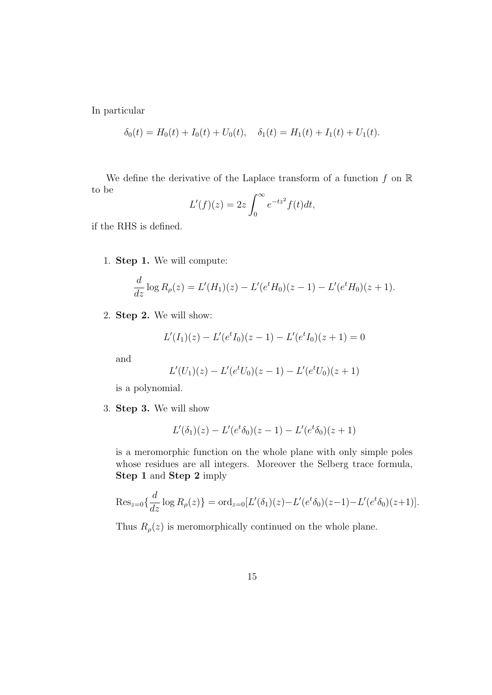In particular

$$
\delta_0(t) = H_0(t) + I_0(t) + U_0(t), \quad \delta_1(t) = H_1(t) + I_1(t) + U_1(t).
$$

We define the derivative of the Laplace transform of a function  $f$  on  $\mathbb R$ to be  $\overline{r}$ 

$$
L'(f)(z) = 2z \int_0^\infty e^{-tz^2} f(t) dt,
$$

if the RHS is defined.

1. Step 1. We will compute:

$$
\frac{d}{dz}\log R_{\rho}(z) = L'(H_1)(z) - L'(e^t H_0)(z-1) - L'(e^t H_0)(z+1).
$$

2. Step 2. We will show:

$$
L'(I_1)(z) - L'(e^t I_0)(z-1) - L'(e^t I_0)(z+1) = 0
$$

and

$$
L'(U_1)(z) - L'(e^t U_0)(z-1) - L'(e^t U_0)(z+1)
$$

is a polynomial.

3. Step 3. We will show

$$
L'(\delta_1)(z) - L'(e^t \delta_0)(z-1) - L'(e^t \delta_0)(z+1)
$$

is a meromorphic function on the whole plane with only simple poles whose residues are all integers. Moreover the Selberg trace formula, Step 1 and Step 2 imply

$$
\operatorname{Res}_{z=0}\{\frac{d}{dz}\log R_{\rho}(z)\} = \operatorname{ord}_{z=0}[L'(\delta_1)(z) - L'(e^t\delta_0)(z-1) - L'(e^t\delta_0)(z+1)].
$$

Thus  $R_{\rho}(z)$  is meromorphically continued on the whole plane.